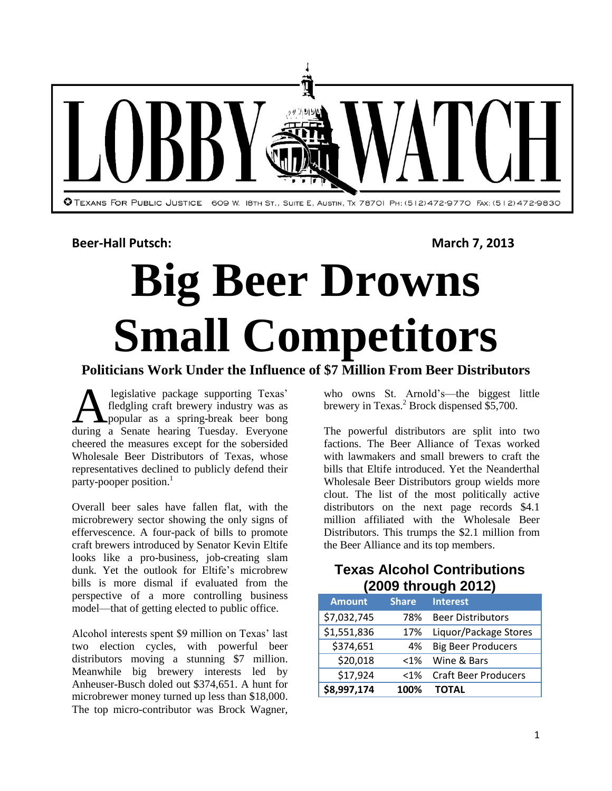

**Beer-Hall Putsch: March 7, 2013** 

# **Big Beer Drowns Small Competitors**

# **Politicians Work Under the Influence of \$7 Million From Beer Distributors**

legislative package supporting Texas' fledgling craft brewery industry was as popular as a spring-break beer bong during a Senate hearing Texas' a spring-break beer bong during a Senate hearing Tuesday. Everyone cheered the measures except for the sobersided Wholesale Beer Distributors of Texas, whose representatives declined to publicly defend their party-pooper position.<sup>1</sup>

Overall beer sales have fallen flat, with the microbrewery sector showing the only signs of effervescence. A four-pack of bills to promote craft brewers introduced by Senator Kevin Eltife looks like a pro-business, job-creating slam dunk. Yet the outlook for Eltife's microbrew bills is more dismal if evaluated from the perspective of a more controlling business model—that of getting elected to public office.

Alcohol interests spent \$9 million on Texas' last two election cycles, with powerful beer distributors moving a stunning \$7 million. Meanwhile big brewery interests led by Anheuser-Busch doled out \$374,651. A hunt for microbrewer money turned up less than \$18,000. The top micro-contributor was Brock Wagner,

who owns St. Arnold's—the biggest little brewery in Texas.<sup>2</sup> Brock dispensed  $\frac{65}{5}$ ,700.

The powerful distributors are split into two factions. The Beer Alliance of Texas worked with lawmakers and small brewers to craft the bills that Eltife introduced. Yet the Neanderthal Wholesale Beer Distributors group wields more clout. The list of the most politically active distributors on the next page records \$4.1 million affiliated with the Wholesale Beer Distributors. This trumps the \$2.1 million from the Beer Alliance and its top members.

#### **Texas Alcohol Contributions (2009 through 2012)**

| <b>Amount</b> | <b>Share</b> | <b>Interest</b>             |  |
|---------------|--------------|-----------------------------|--|
| \$7,032,745   | 78%          | <b>Beer Distributors</b>    |  |
| \$1,551,836   | 17%          | Liquor/Package Stores       |  |
| \$374,651     | 4%           | <b>Big Beer Producers</b>   |  |
| \$20,018      | $< 1\%$      | Wine & Bars                 |  |
| \$17,924      | $< 1\%$      | <b>Craft Beer Producers</b> |  |
| \$8,997,174   | 100%         | <b>TOTAL</b>                |  |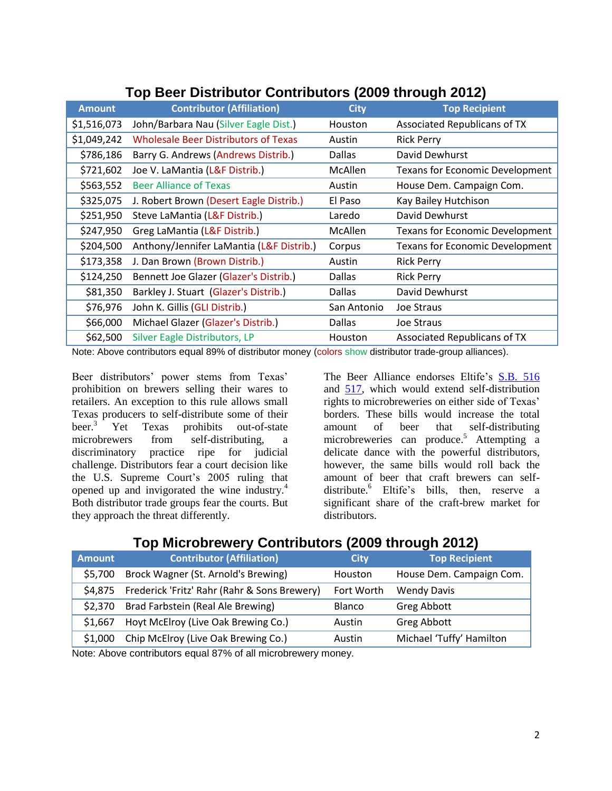| <u>TUD DEEL DISTINUIUL CUITINUIUIS (ZUUJ TIIUUUII ZUTZ)</u> |                                             |               |                                        |  |
|-------------------------------------------------------------|---------------------------------------------|---------------|----------------------------------------|--|
| <b>Amount</b>                                               | <b>Contributor (Affiliation)</b>            | <b>City</b>   | <b>Top Recipient</b>                   |  |
| \$1,516,073                                                 | John/Barbara Nau (Silver Eagle Dist.)       | Houston       | Associated Republicans of TX           |  |
| \$1,049,242                                                 | <b>Wholesale Beer Distributors of Texas</b> | Austin        | <b>Rick Perry</b>                      |  |
| \$786,186                                                   | Barry G. Andrews (Andrews Distrib.)         | <b>Dallas</b> | David Dewhurst                         |  |
| \$721,602                                                   | Joe V. LaMantia (L&F Distrib.)              | McAllen       | <b>Texans for Economic Development</b> |  |
| \$563,552                                                   | <b>Beer Alliance of Texas</b>               | Austin        | House Dem. Campaign Com.               |  |
| \$325,075                                                   | J. Robert Brown (Desert Eagle Distrib.)     | El Paso       | Kay Bailey Hutchison                   |  |
| \$251,950                                                   | Steve LaMantia (L&F Distrib.)               | Laredo        | David Dewhurst                         |  |
| \$247,950                                                   | Greg LaMantia (L&F Distrib.)                | McAllen       | <b>Texans for Economic Development</b> |  |
| \$204,500                                                   | Anthony/Jennifer LaMantia (L&F Distrib.)    | Corpus        | <b>Texans for Economic Development</b> |  |
| \$173,358                                                   | J. Dan Brown (Brown Distrib.)               | Austin        | <b>Rick Perry</b>                      |  |
| \$124,250                                                   | Bennett Joe Glazer (Glazer's Distrib.)      | <b>Dallas</b> | <b>Rick Perry</b>                      |  |
| \$81,350                                                    | Barkley J. Stuart (Glazer's Distrib.)       | <b>Dallas</b> | David Dewhurst                         |  |
| \$76,976                                                    | John K. Gillis (GLI Distrib.)               | San Antonio   | Joe Straus                             |  |
| \$66,000                                                    | Michael Glazer (Glazer's Distrib.)          | <b>Dallas</b> | <b>Joe Straus</b>                      |  |
| \$62,500                                                    | Silver Eagle Distributors, LP               | Houston       | Associated Republicans of TX           |  |

### **Top Beer Distributor Contributors (2009 through 2012)**

Note: Above contributors equal 89% of distributor money (colors show distributor trade-group alliances).

Beer distributors' power stems from Texas' prohibition on brewers selling their wares to retailers. An exception to this rule allows small Texas producers to self-distribute some of their<br>beer.<sup>3</sup> Yet Texas prohibits out-of-state Yet Texas prohibits out-of-state microbrewers from self-distributing, a discriminatory practice ripe for judicial challenge. Distributors fear a court decision like the U.S. Supreme Court's 2005 ruling that opened up and invigorated the wine industry.<sup>4</sup> Both distributor trade groups fear the courts. But they approach the threat differently.

The Beer Alliance endorses Eltife's [S.B. 516](http://www.capitol.state.tx.us/BillLookup/History.aspx?LegSess=83R&Bill=SB516) and [517,](http://www.capitol.state.tx.us/BillLookup/History.aspx?LegSess=83R&Bill=SB517) which would extend self-distribution rights to microbreweries on either side of Texas' borders. These bills would increase the total amount of beer that self-distributing microbreweries can produce.<sup>5</sup> Attempting a delicate dance with the powerful distributors, however, the same bills would roll back the amount of beer that craft brewers can selfdistribute.<sup>6</sup> Eltife's bills, then, reserve a significant share of the craft-brew market for distributors.

#### **Top Microbrewery Contributors (2009 through 2012)**

| <b>Amount</b> | <b>Contributor (Affiliation)</b>             | <b>City</b>   | <b>Top Recipient</b>     |
|---------------|----------------------------------------------|---------------|--------------------------|
| \$5,700       | Brock Wagner (St. Arnold's Brewing)          | Houston       | House Dem. Campaign Com. |
| \$4.875       | Frederick 'Fritz' Rahr (Rahr & Sons Brewery) | Fort Worth    | <b>Wendy Davis</b>       |
| \$2,370       | Brad Farbstein (Real Ale Brewing)            | <b>Blanco</b> | Greg Abbott              |
| \$1,667       | Hoyt McElroy (Live Oak Brewing Co.)          | Austin        | Greg Abbott              |
| \$1,000       | Chip McElroy (Live Oak Brewing Co.)          | Austin        | Michael 'Tuffy' Hamilton |
| .             |                                              |               |                          |

Note: Above contributors equal 87% of all microbrewery money.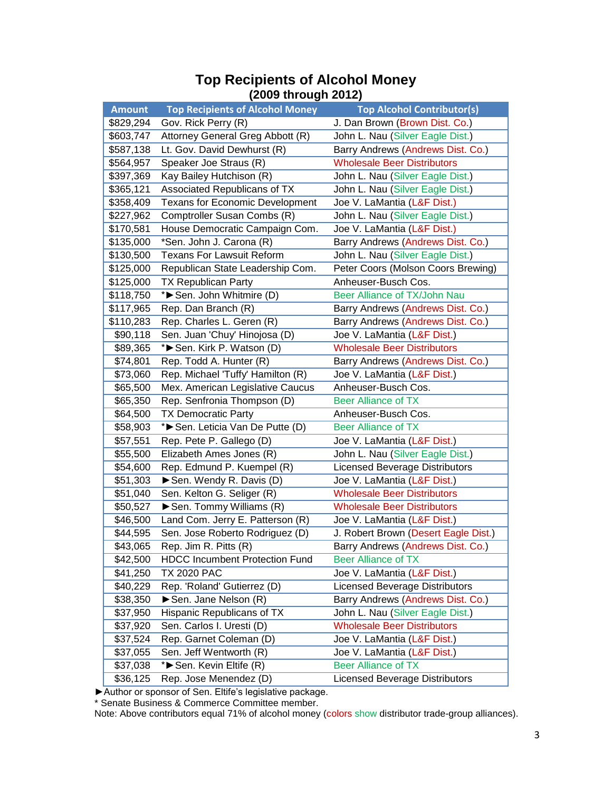| <b>Amount</b> | <b>Top Recipients of Alcohol Money</b> | <b>Top Alcohol Contributor(s)</b>     |  |
|---------------|----------------------------------------|---------------------------------------|--|
| \$829,294     | Gov. Rick Perry (R)                    | J. Dan Brown (Brown Dist. Co.)        |  |
| \$603,747     | Attorney General Greg Abbott (R)       | John L. Nau (Silver Eagle Dist.)      |  |
| \$587,138     | Lt. Gov. David Dewhurst (R)            | Barry Andrews (Andrews Dist. Co.)     |  |
| \$564,957     | Speaker Joe Straus (R)                 | <b>Wholesale Beer Distributors</b>    |  |
| \$397,369     | Kay Bailey Hutchison (R)               | John L. Nau (Silver Eagle Dist.)      |  |
| \$365,121     | Associated Republicans of TX           | John L. Nau (Silver Eagle Dist.)      |  |
| \$358,409     | Texans for Economic Development        | Joe V. LaMantia (L&F Dist.)           |  |
| \$227,962     | Comptroller Susan Combs (R)            | John L. Nau (Silver Eagle Dist.)      |  |
| \$170,581     | House Democratic Campaign Com.         | Joe V. LaMantia (L&F Dist.)           |  |
| \$135,000     | *Sen. John J. Carona (R)               | Barry Andrews (Andrews Dist. Co.)     |  |
| \$130,500     | <b>Texans For Lawsuit Reform</b>       | John L. Nau (Silver Eagle Dist.)      |  |
| \$125,000     | Republican State Leadership Com.       | Peter Coors (Molson Coors Brewing)    |  |
| \$125,000     | <b>TX Republican Party</b>             | Anheuser-Busch Cos.                   |  |
| \$118,750     | *> Sen. John Whitmire (D)              | Beer Alliance of TX/John Nau          |  |
| \$117,965     | Rep. Dan Branch (R)                    | Barry Andrews (Andrews Dist. Co.)     |  |
| \$110,283     | Rep. Charles L. Geren (R)              | Barry Andrews (Andrews Dist. Co.)     |  |
| \$90,118      | Sen. Juan 'Chuy' Hinojosa (D)          | Joe V. LaMantia (L&F Dist.)           |  |
| \$89,365      | * Sen. Kirk P. Watson (D)              | <b>Wholesale Beer Distributors</b>    |  |
| \$74,801      | Rep. Todd A. Hunter (R)                | Barry Andrews (Andrews Dist. Co.)     |  |
| \$73,060      | Rep. Michael 'Tuffy' Hamilton (R)      | Joe V. LaMantia (L&F Dist.)           |  |
| \$65,500      | Mex. American Legislative Caucus       | Anheuser-Busch Cos.                   |  |
| \$65,350      | Rep. Senfronia Thompson (D)            | <b>Beer Alliance of TX</b>            |  |
| \$64,500      | <b>TX Democratic Party</b>             | Anheuser-Busch Cos.                   |  |
| \$58,903      | *Sen. Leticia Van De Putte (D)         | <b>Beer Alliance of TX</b>            |  |
| \$57,551      | Rep. Pete P. Gallego (D)               | Joe V. LaMantia (L&F Dist.)           |  |
| \$55,500      | Elizabeth Ames Jones (R)               | John L. Nau (Silver Eagle Dist.)      |  |
| \$54,600      | Rep. Edmund P. Kuempel (R)             | <b>Licensed Beverage Distributors</b> |  |
| \$51,303      | Sen. Wendy R. Davis (D)                | Joe V. LaMantia (L&F Dist.)           |  |
| \$51,040      | Sen. Kelton G. Seliger (R)             | <b>Wholesale Beer Distributors</b>    |  |
| \$50,527      | Sen. Tommy Williams (R)                | <b>Wholesale Beer Distributors</b>    |  |
| \$46,500      | Land Com. Jerry E. Patterson (R)       | Joe V. LaMantia (L&F Dist.)           |  |
| \$44,595      | Sen. Jose Roberto Rodriguez (D)        | J. Robert Brown (Desert Eagle Dist.)  |  |
| \$43,065      | Rep. Jim R. Pitts (R)                  | Barry Andrews (Andrews Dist. Co.)     |  |
| \$42,500      | <b>HDCC Incumbent Protection Fund</b>  | <b>Beer Alliance of TX</b>            |  |
| \$41,250      | <b>TX 2020 PAC</b>                     | Joe V. LaMantia (L&F Dist.)           |  |
| \$40,229      | Rep. 'Roland' Gutierrez (D)            | <b>Licensed Beverage Distributors</b> |  |
| \$38,350      | Sen. Jane Nelson (R)                   | Barry Andrews (Andrews Dist. Co.)     |  |
| \$37,950      | Hispanic Republicans of TX             | John L. Nau (Silver Eagle Dist.)      |  |
| \$37,920      | Sen. Carlos I. Uresti (D)              | <b>Wholesale Beer Distributors</b>    |  |
| \$37,524      | Rep. Garnet Coleman (D)                | Joe V. LaMantia (L&F Dist.)           |  |
| \$37,055      | Sen. Jeff Wentworth (R)                | Joe V. LaMantia (L&F Dist.)           |  |
| \$37,038      | *>Sen. Kevin Eltife (R)                | <b>Beer Alliance of TX</b>            |  |
| \$36,125      | Rep. Jose Menendez (D)                 | <b>Licensed Beverage Distributors</b> |  |

#### **Top Recipients of Alcohol Money (2009 through 2012)**

►Author or sponsor of Sen. Eltife's legislative package.

\* Senate Business & Commerce Committee member.

Note: Above contributors equal 71% of alcohol money (colors show distributor trade-group alliances).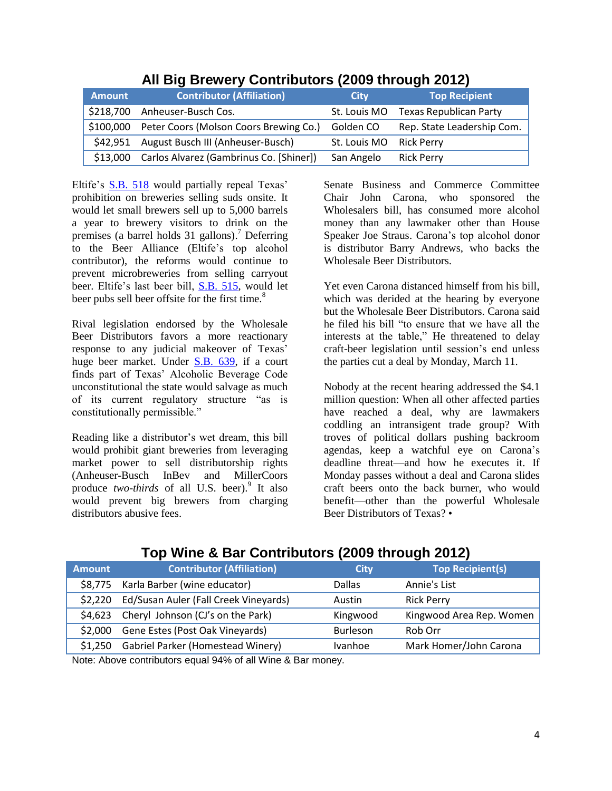| <b>Amount</b> | <b>Contributor (Affiliation)</b>                 | City                    | <b>Top Recipient</b>       |
|---------------|--------------------------------------------------|-------------------------|----------------------------|
|               | \$218,700 Anheuser-Busch Cos.                    | St. Louis MO            | Texas Republican Party     |
|               | \$100,000 Peter Coors (Molson Coors Brewing Co.) | Golden CO               | Rep. State Leadership Com. |
|               | \$42,951 August Busch III (Anheuser-Busch)       | St. Louis MO Rick Perry |                            |
|               | \$13,000 Carlos Alvarez (Gambrinus Co. [Shiner]) | San Angelo              | <b>Rick Perry</b>          |

### **All Big Brewery Contributors (2009 through 2012)**

Eltife's [S.B. 518](http://www.capitol.state.tx.us/BillLookup/History.aspx?LegSess=83R&Bill=SB518) would partially repeal Texas' prohibition on breweries selling suds onsite. It would let small brewers sell up to 5,000 barrels a year to brewery visitors to drink on the premises (a barrel holds 31 gallons). <sup>7</sup> Deferring to the Beer Alliance (Eltife's top alcohol contributor), the reforms would continue to prevent microbreweries from selling carryout beer. Eltife's last beer bill, [S.B. 515,](http://www.capitol.state.tx.us/BillLookup/History.aspx?LegSess=83R&Bill=SB518) would let beer pubs sell beer offsite for the first time.<sup>8</sup>

Rival legislation endorsed by the Wholesale Beer Distributors favors a more reactionary response to any judicial makeover of Texas' huge beer market. Under [S.B. 639,](http://www.capitol.state.tx.us/BillLookup/History.aspx?LegSess=83R&Bill=SB639) if a court finds part of Texas' Alcoholic Beverage Code unconstitutional the state would salvage as much of its current regulatory structure "as is constitutionally permissible."

Reading like a distributor's wet dream, this bill would prohibit giant breweries from leveraging market power to sell distributorship rights (Anheuser-Busch InBev and MillerCoors produce *two-thirds* of all U.S. beer).<sup>9</sup> It also would prevent big brewers from charging distributors abusive fees.

Senate Business and Commerce Committee Chair John Carona, who sponsored the Wholesalers bill, has consumed more alcohol money than any lawmaker other than House Speaker Joe Straus. Carona's top alcohol donor is distributor Barry Andrews, who backs the Wholesale Beer Distributors.

Yet even Carona distanced himself from his bill, which was derided at the hearing by everyone but the Wholesale Beer Distributors. Carona said he filed his bill "to ensure that we have all the interests at the table," He threatened to delay craft-beer legislation until session's end unless the parties cut a deal by Monday, March 11.

Nobody at the recent hearing addressed the \$4.1 million question: When all other affected parties have reached a deal, why are lawmakers coddling an intransigent trade group? With troves of political dollars pushing backroom agendas, keep a watchful eye on Carona's deadline threat—and how he executes it. If Monday passes without a deal and Carona slides craft beers onto the back burner, who would benefit—other than the powerful Wholesale Beer Distributors of Texas? •

| <b>Contributor (Affiliation)</b>         | <b>City</b>                                                                                                                                                                                                                                                                                                                                | <b>Top Recipient(s)</b>  |
|------------------------------------------|--------------------------------------------------------------------------------------------------------------------------------------------------------------------------------------------------------------------------------------------------------------------------------------------------------------------------------------------|--------------------------|
| \$8,775 Karla Barber (wine educator)     | <b>Dallas</b>                                                                                                                                                                                                                                                                                                                              | Annie's List             |
| Ed/Susan Auler (Fall Creek Vineyards)    | Austin                                                                                                                                                                                                                                                                                                                                     | <b>Rick Perry</b>        |
| Cheryl Johnson (CJ's on the Park)        | Kingwood                                                                                                                                                                                                                                                                                                                                   | Kingwood Area Rep. Women |
| Gene Estes (Post Oak Vineyards)          | <b>Burleson</b>                                                                                                                                                                                                                                                                                                                            | Rob Orr                  |
| <b>Gabriel Parker (Homestead Winery)</b> | Ivanhoe                                                                                                                                                                                                                                                                                                                                    | Mark Homer/John Carona   |
|                                          | $\mathbf{A} \mathbf{B}$ and $\mathbf{A} \mathbf{B}$ and $\mathbf{A} \mathbf{B}$ and $\mathbf{A} \mathbf{B}$ and $\mathbf{A} \mathbf{B}$ and $\mathbf{A} \mathbf{B}$ and $\mathbf{A} \mathbf{B}$ and $\mathbf{A} \mathbf{B}$ and $\mathbf{A} \mathbf{B}$ and $\mathbf{A} \mathbf{B}$ and $\mathbf{A} \mathbf{B}$ and $\mathbf{A} \mathbf{B$ |                          |

# **Top Wine & Bar Contributors (2009 through 2012)**

Note: Above contributors equal 94% of all Wine & Bar money.